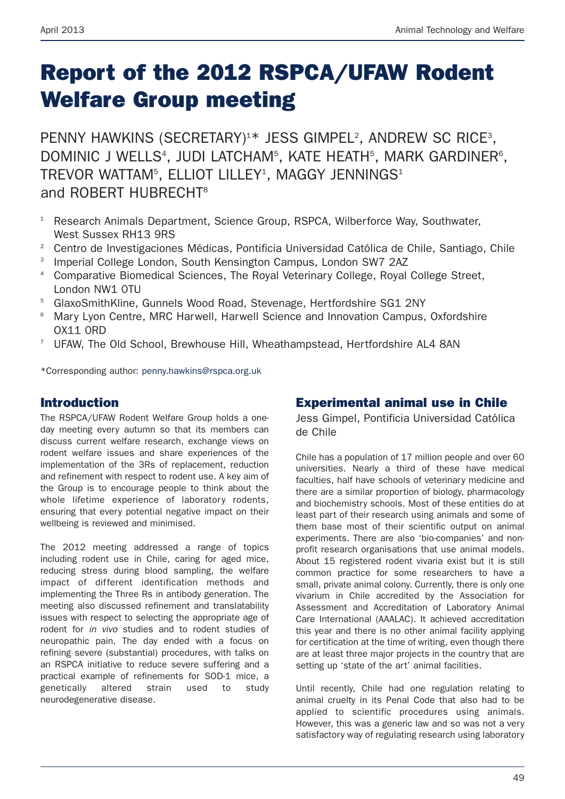# **Report of the 2012 RSPCA/UFAW Rodent Welfare Group meeting**

PENNY HAWKINS (SECRETARY)<sup>1\*</sup> JESS GIMPEL<sup>2</sup>, ANDREW SC RICE<sup>3</sup>, DOMINIC J WELLS<sup>4</sup>, JUDI LATCHAM<sup>5</sup>, KATE HEATH<sup>5</sup>, MARK GARDINER<sup>6</sup>, TREVOR WATTAM<sup>5</sup>, ELLIOT LILLEY<sup>1</sup>, MAGGY JENNINGS<sup>1</sup> and ROBERT HUBRECHT8

- <sup>1</sup> Research Animals Department, Science Group, RSPCA, Wilberforce Way, Southwater, West Sussex RH13 9RS
- <sup>2</sup> Centro de Investigaciones Médicas, Pontificia Universidad Católica de Chile, Santiago, Chile
- <sup>3</sup> Imperial College London, South Kensington Campus, London SW7 2AZ
- <sup>4</sup> Comparative Biomedical Sciences, The Royal Veterinary College, Royal College Street, London NW1 0TU
- <sup>5</sup> GlaxoSmithKline, Gunnels Wood Road, Stevenage, Hertfordshire SG1 2NY
- <sup>6</sup> Mary Lyon Centre, MRC Harwell, Harwell Science and Innovation Campus, Oxfordshire OX11 0RD
- <sup>7</sup> UFAW, The Old School, Brewhouse Hill, Wheathampstead, Hertfordshire AL4 8AN

\*Corresponding author: penny.hawkins@rspca.org.uk

#### **Introduction**

The RSPCA/UFAW Rodent Welfare Group holds a oneday meeting every autumn so that its members can discuss current welfare research, exchange views on rodent welfare issues and share experiences of the implementation of the 3Rs of replacement, reduction and refinement with respect to rodent use. A key aim of the Group is to encourage people to think about the whole lifetime experience of laboratory rodents, ensuring that every potential negative impact on their wellbeing is reviewed and minimised.

The 2012 meeting addressed a range of topics including rodent use in Chile, caring for aged mice, reducing stress during blood sampling, the welfare impact of different identification methods and implementing the Three Rs in antibody generation. The meeting also discussed refinement and translatability issues with respect to selecting the appropriate age of rodent for *in vivo* studies and to rodent studies of neuropathic pain. The day ended with a focus on refining severe (substantial) procedures, with talks on an RSPCA initiative to reduce severe suffering and a practical example of refinements for SOD-1 mice, a genetically altered strain used to study neurodegenerative disease.

#### **Experimental animal use in Chile**

Jess Gimpel, Pontificia Universidad Católica de Chile

Chile has a population of 17 million people and over 60 universities. Nearly a third of these have medical faculties, half have schools of veterinary medicine and there are a similar proportion of biology, pharmacology and biochemistry schools. Most of these entities do at least part of their research using animals and some of them base most of their scientific output on animal experiments. There are also 'bio-companies' and nonprofit research organisations that use animal models. About 15 registered rodent vivaria exist but it is still common practice for some researchers to have a small, private animal colony. Currently, there is only one vivarium in Chile accredited by the Association for Assessment and Accreditation of Laboratory Animal Care International (AAALAC). It achieved accreditation this year and there is no other animal facility applying for certification at the time of writing, even though there are at least three major projects in the country that are setting up 'state of the art' animal facilities.

Until recently, Chile had one regulation relating to animal cruelty in its Penal Code that also had to be applied to scientific procedures using animals. However, this was a generic law and so was not a very satisfactory way of regulating research using laboratory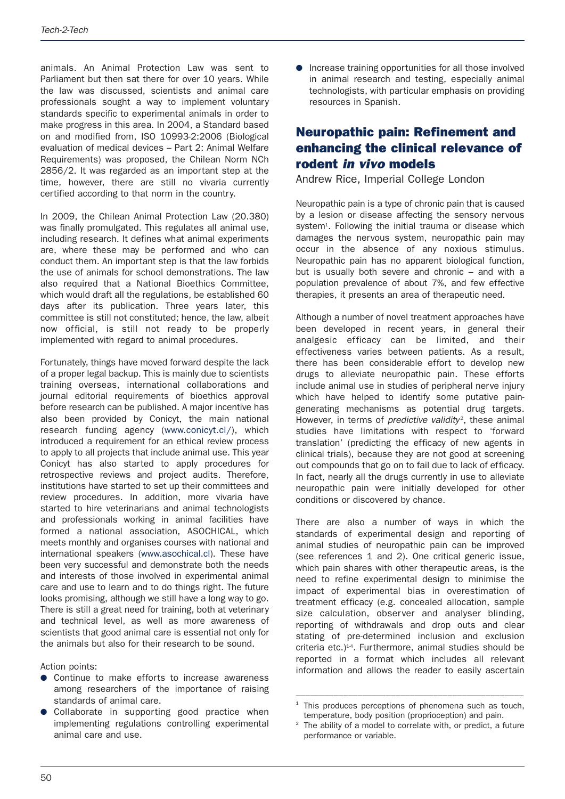animals. An Animal Protection Law was sent to Parliament but then sat there for over 10 years. While the law was discussed, scientists and animal care professionals sought a way to implement voluntary standards specific to experimental animals in order to make progress in this area. In 2004, a Standard based on and modified from, ISO 10993-2:2006 (Biological evaluation of medical devices – Part 2: Animal Welfare Requirements) was proposed, the Chilean Norm NCh 2856/2. It was regarded as an important step at the time, however, there are still no vivaria currently certified according to that norm in the country.

In 2009, the Chilean Animal Protection Law (20.380) was finally promulgated. This regulates all animal use, including research. It defines what animal experiments are, where these may be performed and who can conduct them. An important step is that the law forbids the use of animals for school demonstrations. The law also required that a National Bioethics Committee, which would draft all the regulations, be established 60 days after its publication. Three years later, this committee is still not constituted; hence, the law, albeit now official, is still not ready to be properly implemented with regard to animal procedures.

Fortunately, things have moved forward despite the lack of a proper legal backup. This is mainly due to scientists training overseas, international collaborations and journal editorial requirements of bioethics approval before research can be published. A major incentive has also been provided by Conicyt, the main national research funding agency (www.conicyt.cl/), which introduced a requirement for an ethical review process to apply to all projects that include animal use. This year Conicyt has also started to apply procedures for retrospective reviews and project audits. Therefore, institutions have started to set up their committees and review procedures. In addition, more vivaria have started to hire veterinarians and animal technologists and professionals working in animal facilities have formed a national association, ASOCHICAL, which meets monthly and organises courses with national and international speakers (www.asochical.cl). These have been very successful and demonstrate both the needs and interests of those involved in experimental animal care and use to learn and to do things right. The future looks promising, although we still have a long way to go. There is still a great need for training, both at veterinary and technical level, as well as more awareness of scientists that good animal care is essential not only for the animals but also for their research to be sound.

Action points:

- Continue to make efforts to increase awareness among researchers of the importance of raising standards of animal care.
- Collaborate in supporting good practice when implementing regulations controlling experimental animal care and use.

● Increase training opportunities for all those involved in animal research and testing, especially animal technologists, with particular emphasis on providing resources in Spanish.

## **Neuropathic pain: Refinement and enhancing the clinical relevance of rodent** *in vivo* **models**

Andrew Rice, Imperial College London

Neuropathic pain is a type of chronic pain that is caused by a lesion or disease affecting the sensory nervous system<sup>1</sup>. Following the initial trauma or disease which damages the nervous system, neuropathic pain may occur in the absence of any noxious stimulus. Neuropathic pain has no apparent biological function, but is usually both severe and chronic – and with a population prevalence of about 7%, and few effective therapies, it presents an area of therapeutic need.

Although a number of novel treatment approaches have been developed in recent years, in general their analgesic efficacy can be limited, and their effectiveness varies between patients. As a result, there has been considerable effort to develop new drugs to alleviate neuropathic pain. These efforts include animal use in studies of peripheral nerve injury which have helped to identify some putative paingenerating mechanisms as potential drug targets. However, in terms of *predictive validity<sup>2</sup>*, these animal studies have limitations with respect to 'forward translation' (predicting the efficacy of new agents in clinical trials), because they are not good at screening out compounds that go on to fail due to lack of efficacy. In fact, nearly all the drugs currently in use to alleviate neuropathic pain were initially developed for other conditions or discovered by chance.

There are also a number of ways in which the standards of experimental design and reporting of animal studies of neuropathic pain can be improved (see references 1 and 2). One critical generic issue, which pain shares with other therapeutic areas, is the need to refine experimental design to minimise the impact of experimental bias in overestimation of treatment efficacy (e.g. concealed allocation, sample size calculation, observer and analyser blinding, reporting of withdrawals and drop outs and clear stating of pre-determined inclusion and exclusion criteria etc.<sup>14</sup>, Furthermore, animal studies should be reported in a format which includes all relevant information and allows the reader to easily ascertain

<sup>––––––––––––––––––––––––––––––––––––––––––––––––</sup> This produces perceptions of phenomena such as touch, temperature, body position (proprioception) and pain.

The ability of a model to correlate with, or predict, a future performance or variable.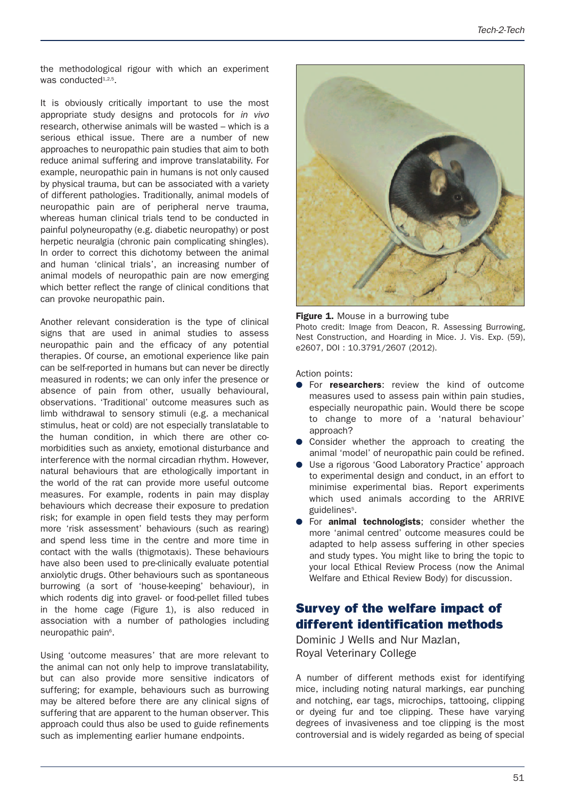the methodological rigour with which an experiment was conducted<sup>1,2,5</sup>.

It is obviously critically important to use the most appropriate study designs and protocols for *in vivo* research, otherwise animals will be wasted – which is a serious ethical issue. There are a number of new approaches to neuropathic pain studies that aim to both reduce animal suffering and improve translatability. For example, neuropathic pain in humans is not only caused by physical trauma, but can be associated with a variety of different pathologies. Traditionally, animal models of neuropathic pain are of peripheral nerve trauma, whereas human clinical trials tend to be conducted in painful polyneuropathy (e.g. diabetic neuropathy) or post herpetic neuralgia (chronic pain complicating shingles). In order to correct this dichotomy between the animal and human 'clinical trials', an increasing number of animal models of neuropathic pain are now emerging which better reflect the range of clinical conditions that can provoke neuropathic pain.

Another relevant consideration is the type of clinical signs that are used in animal studies to assess neuropathic pain and the efficacy of any potential therapies. Of course, an emotional experience like pain can be self-reported in humans but can never be directly measured in rodents; we can only infer the presence or absence of pain from other, usually behavioural, observations. 'Traditional' outcome measures such as limb withdrawal to sensory stimuli (e.g. a mechanical stimulus, heat or cold) are not especially translatable to the human condition, in which there are other comorbidities such as anxiety, emotional disturbance and interference with the normal circadian rhythm. However, natural behaviours that are ethologically important in the world of the rat can provide more useful outcome measures. For example, rodents in pain may display behaviours which decrease their exposure to predation risk; for example in open field tests they may perform more 'risk assessment' behaviours (such as rearing) and spend less time in the centre and more time in contact with the walls (thigmotaxis). These behaviours have also been used to pre-clinically evaluate potential anxiolytic drugs. Other behaviours such as spontaneous burrowing (a sort of 'house-keeping' behaviour), in which rodents dig into gravel- or food-pellet filled tubes in the home cage (Figure 1), is also reduced in association with a number of pathologies including neuropathic pain<sup>6</sup>.

Using 'outcome measures' that are more relevant to the animal can not only help to improve translatability, but can also provide more sensitive indicators of suffering; for example, behaviours such as burrowing may be altered before there are any clinical signs of suffering that are apparent to the human observer. This approach could thus also be used to guide refinements such as implementing earlier humane endpoints.



**Figure 1.** Mouse in a burrowing tube

Photo credit: Image from Deacon, R. Assessing Burrowing, Nest Construction, and Hoarding in Mice. J. Vis. Exp. (59), e2607, DOI : 10.3791/2607 (2012).

Action points:

- For **researchers**: review the kind of outcome measures used to assess pain within pain studies, especially neuropathic pain. Would there be scope to change to more of a 'natural behaviour' approach?
- Consider whether the approach to creating the animal 'model' of neuropathic pain could be refined.
- Use a rigorous 'Good Laboratory Practice' approach to experimental design and conduct, in an effort to minimise experimental bias. Report experiments which used animals according to the ARRIVE guidelines<sup>5</sup>.
- For **animal technologists**; consider whether the more 'animal centred' outcome measures could be adapted to help assess suffering in other species and study types. You might like to bring the topic to your local Ethical Review Process (now the Animal Welfare and Ethical Review Body) for discussion.

#### **Survey of the welfare impact of different identification methods**

Dominic J Wells and Nur Mazlan, Royal Veterinary College

A number of different methods exist for identifying mice, including noting natural markings, ear punching and notching, ear tags, microchips, tattooing, clipping or dyeing fur and toe clipping. These have varying degrees of invasiveness and toe clipping is the most controversial and is widely regarded as being of special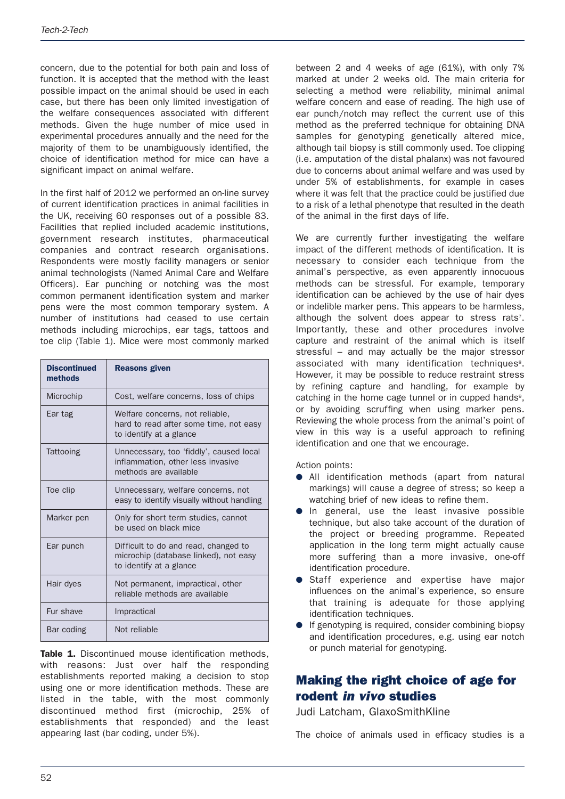concern, due to the potential for both pain and loss of function. It is accepted that the method with the least possible impact on the animal should be used in each case, but there has been only limited investigation of the welfare consequences associated with different methods. Given the huge number of mice used in experimental procedures annually and the need for the majority of them to be unambiguously identified, the choice of identification method for mice can have a significant impact on animal welfare.

In the first half of 2012 we performed an on-line survey of current identification practices in animal facilities in the UK, receiving 60 responses out of a possible 83. Facilities that replied included academic institutions, government research institutes, pharmaceutical companies and contract research organisations. Respondents were mostly facility managers or senior animal technologists (Named Animal Care and Welfare Officers). Ear punching or notching was the most common permanent identification system and marker pens were the most common temporary system. A number of institutions had ceased to use certain methods including microchips, ear tags, tattoos and toe clip (Table 1). Mice were most commonly marked

| <b>Discontinued</b><br>methods | <b>Reasons given</b>                                                                                     |
|--------------------------------|----------------------------------------------------------------------------------------------------------|
| Microchip                      | Cost, welfare concerns, loss of chips                                                                    |
| Ear tag                        | Welfare concerns, not reliable,<br>hard to read after some time, not easy<br>to identify at a glance     |
| Tattooing                      | Unnecessary, too 'fiddly', caused local<br>inflammation, other less invasive<br>methods are available    |
| Toe clip                       | Unnecessary, welfare concerns, not<br>easy to identify visually without handling                         |
| Marker pen                     | Only for short term studies, cannot<br>be used on black mice                                             |
| Ear punch                      | Difficult to do and read, changed to<br>microchip (database linked), not easy<br>to identify at a glance |
| Hair dyes                      | Not permanent, impractical, other<br>reliable methods are available                                      |
| Fur shave                      | Impractical                                                                                              |
| Bar coding                     | Not reliable                                                                                             |

**Table 1.** Discontinued mouse identification methods, with reasons: Just over half the responding establishments reported making a decision to stop using one or more identification methods. These are listed in the table, with the most commonly discontinued method first (microchip, 25% of establishments that responded) and the least appearing last (bar coding, under 5%).

between 2 and 4 weeks of age (61%), with only 7% marked at under 2 weeks old. The main criteria for selecting a method were reliability, minimal animal welfare concern and ease of reading. The high use of ear punch/notch may reflect the current use of this method as the preferred technique for obtaining DNA samples for genotyping genetically altered mice, although tail biopsy is still commonly used. Toe clipping (i.e. amputation of the distal phalanx) was not favoured due to concerns about animal welfare and was used by under 5% of establishments, for example in cases where it was felt that the practice could be justified due to a risk of a lethal phenotype that resulted in the death of the animal in the first days of life.

We are currently further investigating the welfare impact of the different methods of identification. It is necessary to consider each technique from the animal's perspective, as even apparently innocuous methods can be stressful. For example, temporary identification can be achieved by the use of hair dyes or indelible marker pens. This appears to be harmless, although the solvent does appear to stress rats<sup>7</sup>. Importantly, these and other procedures involve capture and restraint of the animal which is itself stressful – and may actually be the major stressor associated with many identification techniques<sup>8</sup>. However, it may be possible to reduce restraint stress by refining capture and handling, for example by catching in the home cage tunnel or in cupped hands<sup>9</sup>. or by avoiding scruffing when using marker pens. Reviewing the whole process from the animal's point of view in this way is a useful approach to refining identification and one that we encourage.

Action points:

- All identification methods (apart from natural markings) will cause a degree of stress; so keep a watching brief of new ideas to refine them.
- **•** In general, use the least invasive possible technique, but also take account of the duration of the project or breeding programme. Repeated application in the long term might actually cause more suffering than a more invasive, one-off identification procedure.
- Staff experience and expertise have major influences on the animal's experience, so ensure that training is adequate for those applying identification techniques.
- If genotyping is required, consider combining biopsy and identification procedures, e.g. using ear notch or punch material for genotyping.

# **Making the right choice of age for rodent** *in vivo* **studies**

Judi Latcham, GlaxoSmithKline

The choice of animals used in efficacy studies is a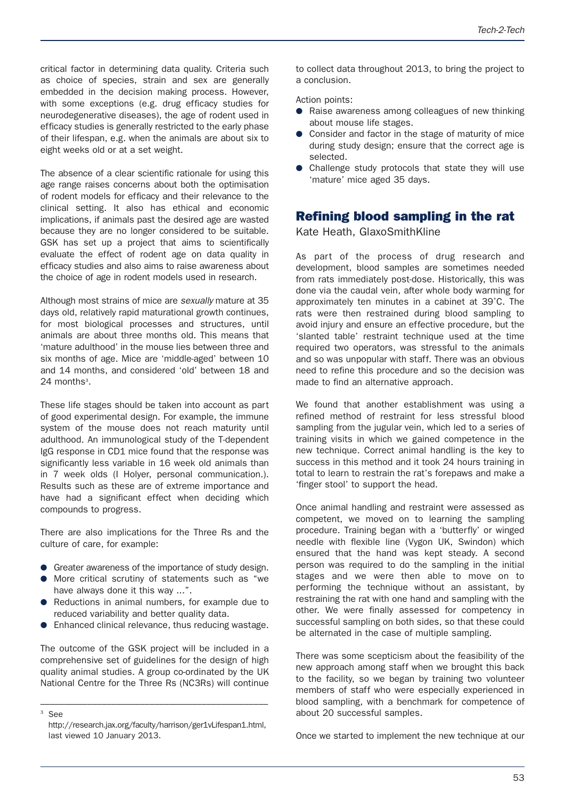critical factor in determining data quality. Criteria such as choice of species, strain and sex are generally embedded in the decision making process. However, with some exceptions (e.g. drug efficacy studies for neurodegenerative diseases), the age of rodent used in efficacy studies is generally restricted to the early phase of their lifespan, e.g. when the animals are about six to eight weeks old or at a set weight.

The absence of a clear scientific rationale for using this age range raises concerns about both the optimisation of rodent models for efficacy and their relevance to the clinical setting. It also has ethical and economic implications, if animals past the desired age are wasted because they are no longer considered to be suitable. GSK has set up a project that aims to scientifically evaluate the effect of rodent age on data quality in efficacy studies and also aims to raise awareness about the choice of age in rodent models used in research.

Although most strains of mice are *sexually* mature at 35 days old, relatively rapid maturational growth continues, for most biological processes and structures, until animals are about three months old. This means that 'mature adulthood' in the mouse lies between three and six months of age. Mice are 'middle-aged' between 10 and 14 months, and considered 'old' between 18 and  $24$  months<sup>3</sup>.

These life stages should be taken into account as part of good experimental design. For example, the immune system of the mouse does not reach maturity until adulthood. An immunological study of the T-dependent IgG response in CD1 mice found that the response was significantly less variable in 16 week old animals than in 7 week olds (I Holyer, personal communication.). Results such as these are of extreme importance and have had a significant effect when deciding which compounds to progress.

There are also implications for the Three Rs and the culture of care, for example:

- Greater awareness of the importance of study design.
- More critical scrutiny of statements such as "we have always done it this way ...".
- Reductions in animal numbers, for example due to reduced variability and better quality data.
- Enhanced clinical relevance, thus reducing wastage.

The outcome of the GSK project will be included in a comprehensive set of guidelines for the design of high quality animal studies. A group co-ordinated by the UK National Centre for the Three Rs (NC3Rs) will continue

––––––––––––––––––––––––––––––––––––––––––––––––

to collect data throughout 2013, to bring the project to a conclusion.

Action points:

- Raise awareness among colleagues of new thinking about mouse life stages.
- Consider and factor in the stage of maturity of mice during study design; ensure that the correct age is selected.
- Challenge study protocols that state they will use 'mature' mice aged 35 days.

#### **Refining blood sampling in the rat**

Kate Heath, GlaxoSmithKline

As part of the process of drug research and development, blood samples are sometimes needed from rats immediately post-dose. Historically, this was done via the caudal vein, after whole body warming for approximately ten minutes in a cabinet at 39˚C. The rats were then restrained during blood sampling to avoid injury and ensure an effective procedure, but the 'slanted table' restraint technique used at the time required two operators, was stressful to the animals and so was unpopular with staff. There was an obvious need to refine this procedure and so the decision was made to find an alternative approach.

We found that another establishment was using a refined method of restraint for less stressful blood sampling from the jugular vein, which led to a series of training visits in which we gained competence in the new technique. Correct animal handling is the key to success in this method and it took 24 hours training in total to learn to restrain the rat's forepaws and make a 'finger stool' to support the head.

Once animal handling and restraint were assessed as competent, we moved on to learning the sampling procedure. Training began with a 'butterfly' or winged needle with flexible line (Vygon UK, Swindon) which ensured that the hand was kept steady. A second person was required to do the sampling in the initial stages and we were then able to move on to performing the technique without an assistant, by restraining the rat with one hand and sampling with the other. We were finally assessed for competency in successful sampling on both sides, so that these could be alternated in the case of multiple sampling.

There was some scepticism about the feasibility of the new approach among staff when we brought this back to the facility, so we began by training two volunteer members of staff who were especially experienced in blood sampling, with a benchmark for competence of about 20 successful samples.

Once we started to implement the new technique at our

 $3 SPA$ 

http://research.jax.org/faculty/harrison/ger1vLifespan1.html, last viewed 10 January 2013.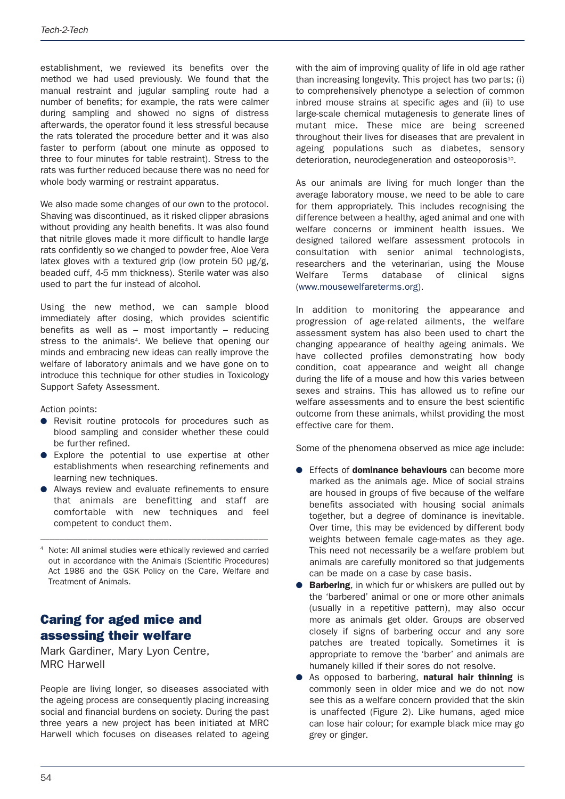establishment, we reviewed its benefits over the method we had used previously. We found that the manual restraint and jugular sampling route had a number of benefits; for example, the rats were calmer during sampling and showed no signs of distress afterwards, the operator found it less stressful because the rats tolerated the procedure better and it was also faster to perform (about one minute as opposed to three to four minutes for table restraint). Stress to the rats was further reduced because there was no need for whole body warming or restraint apparatus.

We also made some changes of our own to the protocol. Shaving was discontinued, as it risked clipper abrasions without providing any health benefits. It was also found that nitrile gloves made it more difficult to handle large rats confidently so we changed to powder free, Aloe Vera latex gloves with a textured grip (low protein 50  $\mu$ g/g, beaded cuff, 4-5 mm thickness). Sterile water was also used to part the fur instead of alcohol.

Using the new method, we can sample blood immediately after dosing, which provides scientific benefits as well as – most importantly – reducing stress to the animals<sup>4</sup>. We believe that opening our minds and embracing new ideas can really improve the welfare of laboratory animals and we have gone on to introduce this technique for other studies in Toxicology Support Safety Assessment.

Action points:

- Revisit routine protocols for procedures such as blood sampling and consider whether these could be further refined.
- Explore the potential to use expertise at other establishments when researching refinements and learning new techniques.
- Always review and evaluate refinements to ensure that animals are benefitting and staff are comfortable with new techniques and feel competent to conduct them.
- Note: All animal studies were ethically reviewed and carried out in accordance with the Animals (Scientific Procedures) Act 1986 and the GSK Policy on the Care, Welfare and Treatment of Animals.

––––––––––––––––––––––––––––––––––––––––––––––––

#### **Caring for aged mice and assessing their welfare**

Mark Gardiner, Mary Lyon Centre, MRC Harwell

People are living longer, so diseases associated with the ageing process are consequently placing increasing social and financial burdens on society. During the past three years a new project has been initiated at MRC Harwell which focuses on diseases related to ageing with the aim of improving quality of life in old age rather than increasing longevity. This project has two parts; (i) to comprehensively phenotype a selection of common inbred mouse strains at specific ages and (ii) to use large-scale chemical mutagenesis to generate lines of mutant mice. These mice are being screened throughout their lives for diseases that are prevalent in ageing populations such as diabetes, sensory deterioration, neurodegeneration and osteoporosis<sup>10</sup>.

As our animals are living for much longer than the average laboratory mouse, we need to be able to care for them appropriately. This includes recognising the difference between a healthy, aged animal and one with welfare concerns or imminent health issues. We designed tailored welfare assessment protocols in consultation with senior animal technologists, researchers and the veterinarian, using the Mouse Welfare Terms database of clinical signs (www.mousewelfareterms.org).

In addition to monitoring the appearance and progression of age-related ailments, the welfare assessment system has also been used to chart the changing appearance of healthy ageing animals. We have collected profiles demonstrating how body condition, coat appearance and weight all change during the life of a mouse and how this varies between sexes and strains. This has allowed us to refine our welfare assessments and to ensure the best scientific outcome from these animals, whilst providing the most effective care for them.

Some of the phenomena observed as mice age include:

- Effects of **dominance behaviours** can become more marked as the animals age. Mice of social strains are housed in groups of five because of the welfare benefits associated with housing social animals together, but a degree of dominance is inevitable. Over time, this may be evidenced by different body weights between female cage-mates as they age. This need not necessarily be a welfare problem but animals are carefully monitored so that judgements can be made on a case by case basis.
- **Barbering**, in which fur or whiskers are pulled out by the 'barbered' animal or one or more other animals (usually in a repetitive pattern), may also occur more as animals get older. Groups are observed closely if signs of barbering occur and any sore patches are treated topically. Sometimes it is appropriate to remove the 'barber' and animals are humanely killed if their sores do not resolve.
- As opposed to barbering, **natural hair thinning** is commonly seen in older mice and we do not now see this as a welfare concern provided that the skin is unaffected (Figure 2). Like humans, aged mice can lose hair colour; for example black mice may go grey or ginger.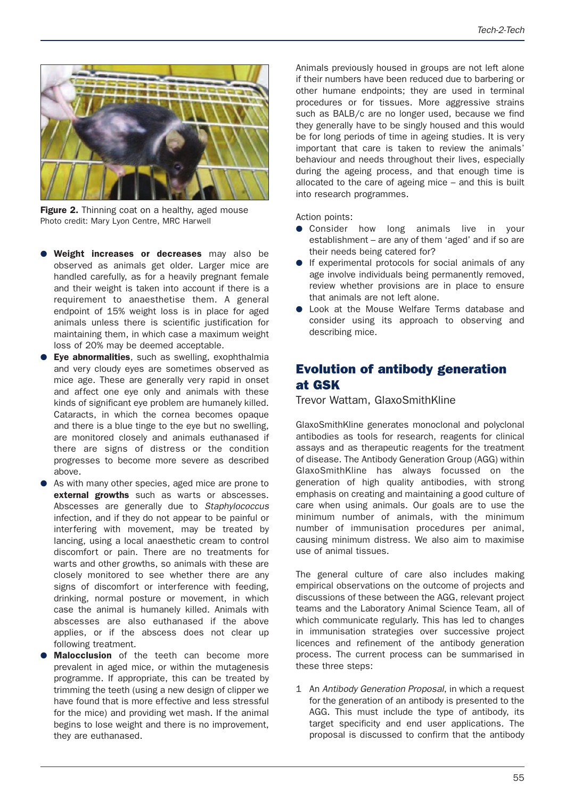

**Figure 2.** Thinning coat on a healthy, aged mouse Photo credit: Mary Lyon Centre, MRC Harwell

- **Weight increases or decreases** may also be observed as animals get older. Larger mice are handled carefully, as for a heavily pregnant female and their weight is taken into account if there is a requirement to anaesthetise them. A general endpoint of 15% weight loss is in place for aged animals unless there is scientific justification for maintaining them, in which case a maximum weight loss of 20% may be deemed acceptable.
- **Eye abnormalities**, such as swelling, exophthalmia and very cloudy eyes are sometimes observed as mice age. These are generally very rapid in onset and affect one eye only and animals with these kinds of significant eye problem are humanely killed. Cataracts, in which the cornea becomes opaque and there is a blue tinge to the eye but no swelling, are monitored closely and animals euthanased if there are signs of distress or the condition progresses to become more severe as described above.
- As with many other species, aged mice are prone to **external growths** such as warts or abscesses. Abscesses are generally due to *Staphylococcus* infection, and if they do not appear to be painful or interfering with movement, may be treated by lancing, using a local anaesthetic cream to control discomfort or pain. There are no treatments for warts and other growths, so animals with these are closely monitored to see whether there are any signs of discomfort or interference with feeding, drinking, normal posture or movement, in which case the animal is humanely killed. Animals with abscesses are also euthanased if the above applies, or if the abscess does not clear up following treatment.
- **Malocclusion** of the teeth can become more prevalent in aged mice, or within the mutagenesis programme. If appropriate, this can be treated by trimming the teeth (using a new design of clipper we have found that is more effective and less stressful for the mice) and providing wet mash. If the animal begins to lose weight and there is no improvement, they are euthanased.

Animals previously housed in groups are not left alone if their numbers have been reduced due to barbering or other humane endpoints; they are used in terminal procedures or for tissues. More aggressive strains such as BALB/c are no longer used, because we find they generally have to be singly housed and this would be for long periods of time in ageing studies. It is very important that care is taken to review the animals' behaviour and needs throughout their lives, especially during the ageing process, and that enough time is allocated to the care of ageing mice – and this is built into research programmes.

Action points:

- Consider how long animals live in your establishment – are any of them 'aged' and if so are their needs being catered for?
- If experimental protocols for social animals of any age involve individuals being permanently removed, review whether provisions are in place to ensure that animals are not left alone.
- Look at the Mouse Welfare Terms database and consider using its approach to observing and describing mice.

## **Evolution of antibody generation at GSK**

Trevor Wattam, GlaxoSmithKline

GlaxoSmithKline generates monoclonal and polyclonal antibodies as tools for research, reagents for clinical assays and as therapeutic reagents for the treatment of disease. The Antibody Generation Group (AGG) within GlaxoSmithKline has always focussed on the generation of high quality antibodies, with strong emphasis on creating and maintaining a good culture of care when using animals. Our goals are to use the minimum number of animals, with the minimum number of immunisation procedures per animal, causing minimum distress. We also aim to maximise use of animal tissues.

The general culture of care also includes making empirical observations on the outcome of projects and discussions of these between the AGG, relevant project teams and the Laboratory Animal Science Team, all of which communicate regularly. This has led to changes in immunisation strategies over successive project licences and refinement of the antibody generation process. The current process can be summarised in these three steps:

1 An *Antibody Generation Proposal*, in which a request for the generation of an antibody is presented to the AGG. This must include the type of antibody, its target specificity and end user applications. The proposal is discussed to confirm that the antibody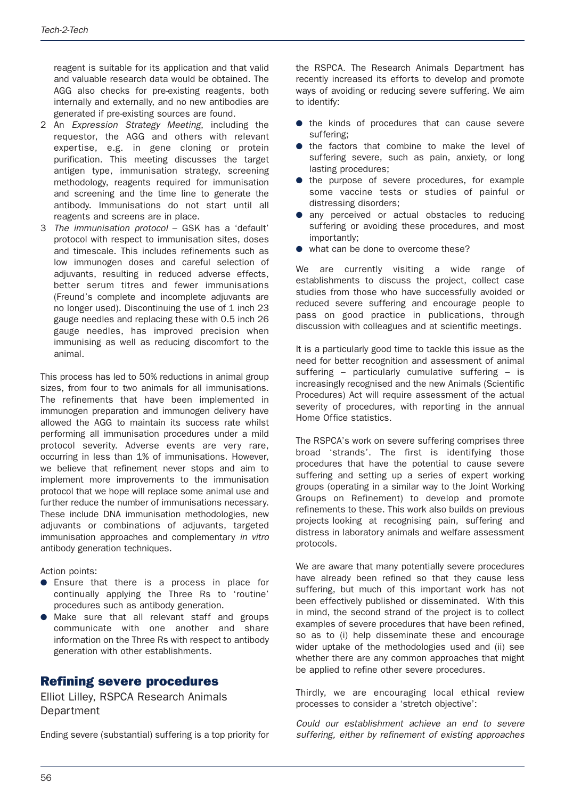reagent is suitable for its application and that valid and valuable research data would be obtained. The AGG also checks for pre-existing reagents, both internally and externally, and no new antibodies are generated if pre-existing sources are found.

- 2 An *Expression Strategy Meeting*, including the requestor, the AGG and others with relevant expertise, e.g. in gene cloning or protein purification. This meeting discusses the target antigen type, immunisation strategy, screening methodology, reagents required for immunisation and screening and the time line to generate the antibody. Immunisations do not start until all reagents and screens are in place.
- 3 *The immunisation protocol* GSK has a 'default' protocol with respect to immunisation sites, doses and timescale. This includes refinements such as low immunogen doses and careful selection of adjuvants, resulting in reduced adverse effects, better serum titres and fewer immunisations (Freund's complete and incomplete adjuvants are no longer used). Discontinuing the use of 1 inch 23 gauge needles and replacing these with 0.5 inch 26 gauge needles, has improved precision when immunising as well as reducing discomfort to the animal.

This process has led to 50% reductions in animal group sizes, from four to two animals for all immunisations. The refinements that have been implemented in immunogen preparation and immunogen delivery have allowed the AGG to maintain its success rate whilst performing all immunisation procedures under a mild protocol severity. Adverse events are very rare, occurring in less than 1% of immunisations. However, we believe that refinement never stops and aim to implement more improvements to the immunisation protocol that we hope will replace some animal use and further reduce the number of immunisations necessary. These include DNA immunisation methodologies, new adjuvants or combinations of adjuvants, targeted immunisation approaches and complementary *in vitro* antibody generation techniques.

Action points:

- Ensure that there is a process in place for continually applying the Three Rs to 'routine' procedures such as antibody generation.
- Make sure that all relevant staff and groups communicate with one another and share information on the Three Rs with respect to antibody generation with other establishments.

#### **Refining severe procedures**

Elliot Lilley, RSPCA Research Animals **Department** 

Ending severe (substantial) suffering is a top priority for

the RSPCA. The Research Animals Department has recently increased its efforts to develop and promote ways of avoiding or reducing severe suffering. We aim to identify:

- the kinds of procedures that can cause severe suffering;
- the factors that combine to make the level of suffering severe, such as pain, anxiety, or long lasting procedures;
- the purpose of severe procedures, for example some vaccine tests or studies of painful or distressing disorders;
- any perceived or actual obstacles to reducing suffering or avoiding these procedures, and most importantly;
- what can be done to overcome these?

We are currently visiting a wide range of establishments to discuss the project, collect case studies from those who have successfully avoided or reduced severe suffering and encourage people to pass on good practice in publications, through discussion with colleagues and at scientific meetings.

It is a particularly good time to tackle this issue as the need for better recognition and assessment of animal suffering – particularly cumulative suffering – is increasingly recognised and the new Animals (Scientific Procedures) Act will require assessment of the actual severity of procedures, with reporting in the annual Home Office statistics.

The RSPCA's work on severe suffering comprises three broad 'strands'. The first is identifying those procedures that have the potential to cause severe suffering and setting up a series of expert working groups (operating in a similar way to the Joint Working Groups on Refinement) to develop and promote refinements to these. This work also builds on previous projects looking at recognising pain, suffering and distress in laboratory animals and welfare assessment protocols.

We are aware that many potentially severe procedures have already been refined so that they cause less suffering, but much of this important work has not been effectively published or disseminated. With this in mind, the second strand of the project is to collect examples of severe procedures that have been refined, so as to (i) help disseminate these and encourage wider uptake of the methodologies used and (ii) see whether there are any common approaches that might be applied to refine other severe procedures.

Thirdly, we are encouraging local ethical review processes to consider a 'stretch objective':

*Could our establishment achieve an end to severe suffering, either by refinement of existing approaches*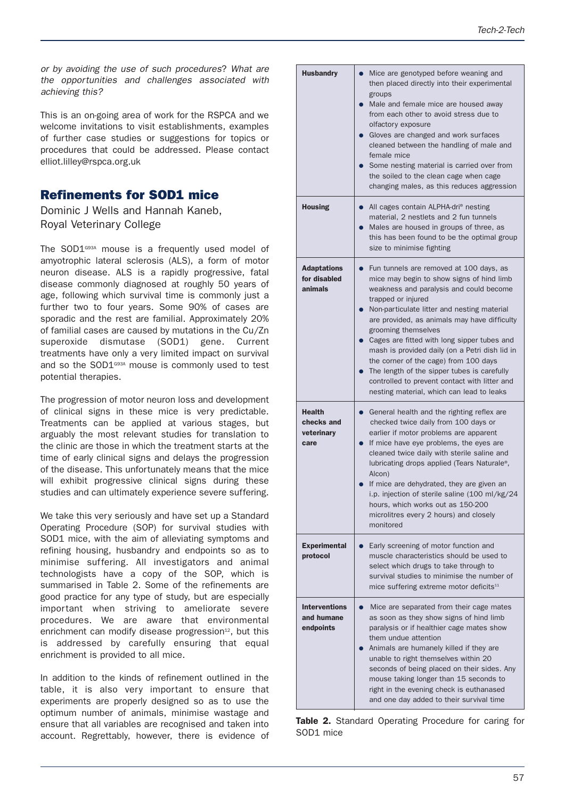*or by avoiding the use of such procedures*? *What are the opportunities and challenges associated with achieving this?*

This is an on-going area of work for the RSPCA and we welcome invitations to visit establishments, examples of further case studies or suggestions for topics or procedures that could be addressed. Please contact elliot.lilley@rspca.org.uk

#### **Refinements for SOD1 mice**

Dominic J Wells and Hannah Kaneb, Royal Veterinary College

The SOD1<sup>G93A</sup> mouse is a frequently used model of amyotrophic lateral sclerosis (ALS), a form of motor neuron disease. ALS is a rapidly progressive, fatal disease commonly diagnosed at roughly 50 years of age, following which survival time is commonly just a further two to four years. Some 90% of cases are sporadic and the rest are familial. Approximately 20% of familial cases are caused by mutations in the Cu/Zn superoxide dismutase (SOD1) gene. Current treatments have only a very limited impact on survival and so the SOD1<sup>G93A</sup> mouse is commonly used to test potential therapies.

The progression of motor neuron loss and development of clinical signs in these mice is very predictable. Treatments can be applied at various stages, but arguably the most relevant studies for translation to the clinic are those in which the treatment starts at the time of early clinical signs and delays the progression of the disease. This unfortunately means that the mice will exhibit progressive clinical signs during these studies and can ultimately experience severe suffering.

We take this very seriously and have set up a Standard Operating Procedure (SOP) for survival studies with SOD1 mice, with the aim of alleviating symptoms and refining housing, husbandry and endpoints so as to minimise suffering. All investigators and animal technologists have a copy of the SOP, which is summarised in Table 2. Some of the refinements are good practice for any type of study, but are especially important when striving to ameliorate severe procedures. We are aware that environmental enrichment can modify disease progression<sup>12</sup>, but this is addressed by carefully ensuring that equal enrichment is provided to all mice.

In addition to the kinds of refinement outlined in the table, it is also very important to ensure that experiments are properly designed so as to use the optimum number of animals, minimise wastage and ensure that all variables are recognised and taken into account. Regrettably, however, there is evidence of

| <b>Husbandry</b>                                  | Mice are genotyped before weaning and<br>then placed directly into their experimental<br>groups<br>Male and female mice are housed away<br>from each other to avoid stress due to<br>olfactory exposure<br>Gloves are changed and work surfaces<br>cleaned between the handling of male and<br>female mice<br>Some nesting material is carried over from<br>the soiled to the clean cage when cage<br>changing males, as this reduces aggression                                                                                                                                |
|---------------------------------------------------|---------------------------------------------------------------------------------------------------------------------------------------------------------------------------------------------------------------------------------------------------------------------------------------------------------------------------------------------------------------------------------------------------------------------------------------------------------------------------------------------------------------------------------------------------------------------------------|
| <b>Housing</b>                                    | All cages contain ALPHA-dri <sup>®</sup> nesting<br>material, 2 nestlets and 2 fun tunnels<br>Males are housed in groups of three, as<br>this has been found to be the optimal group<br>size to minimise fighting                                                                                                                                                                                                                                                                                                                                                               |
| <b>Adaptations</b><br>for disabled<br>animals     | Fun tunnels are removed at 100 days, as<br>$\bullet$<br>mice may begin to show signs of hind limb<br>weakness and paralysis and could become<br>trapped or injured<br>Non-particulate litter and nesting material<br>are provided, as animals may have difficulty<br>grooming themselves<br>Cages are fitted with long sipper tubes and<br>mash is provided daily (on a Petri dish lid in<br>the corner of the cage) from 100 days<br>The length of the sipper tubes is carefully<br>controlled to prevent contact with litter and<br>nesting material, which can lead to leaks |
| <b>Health</b><br>checks and<br>veterinary<br>care | General health and the righting reflex are<br>$\bullet$<br>checked twice daily from 100 days or<br>earlier if motor problems are apparent<br>If mice have eye problems, the eyes are<br>cleaned twice daily with sterile saline and<br>lubricating drops applied (Tears Naturale®,<br>Alcon)<br>If mice are dehydrated, they are given an<br>i.p. injection of sterile saline (100 ml/kg/24<br>hours, which works out as 150-200<br>microlitres every 2 hours) and closely<br>monitored                                                                                         |
| <b>Experimental</b><br>protocol                   | Early screening of motor function and<br>muscle characteristics should be used to<br>select which drugs to take through to<br>survival studies to minimise the number of<br>mice suffering extreme motor deficits <sup>11</sup>                                                                                                                                                                                                                                                                                                                                                 |
| <b>Interventions</b><br>and humane<br>endpoints   | Mice are separated from their cage mates<br>as soon as they show signs of hind limb<br>paralysis or if healthier cage mates show<br>them undue attention<br>Animals are humanely killed if they are<br>unable to right themselves within 20<br>seconds of being placed on their sides. Any<br>mouse taking longer than 15 seconds to<br>right in the evening check is euthanased<br>and one day added to their survival time                                                                                                                                                    |

|           |  | Table 2. Standard Operating Procedure for caring for |  |  |
|-----------|--|------------------------------------------------------|--|--|
| SOD1 mice |  |                                                      |  |  |